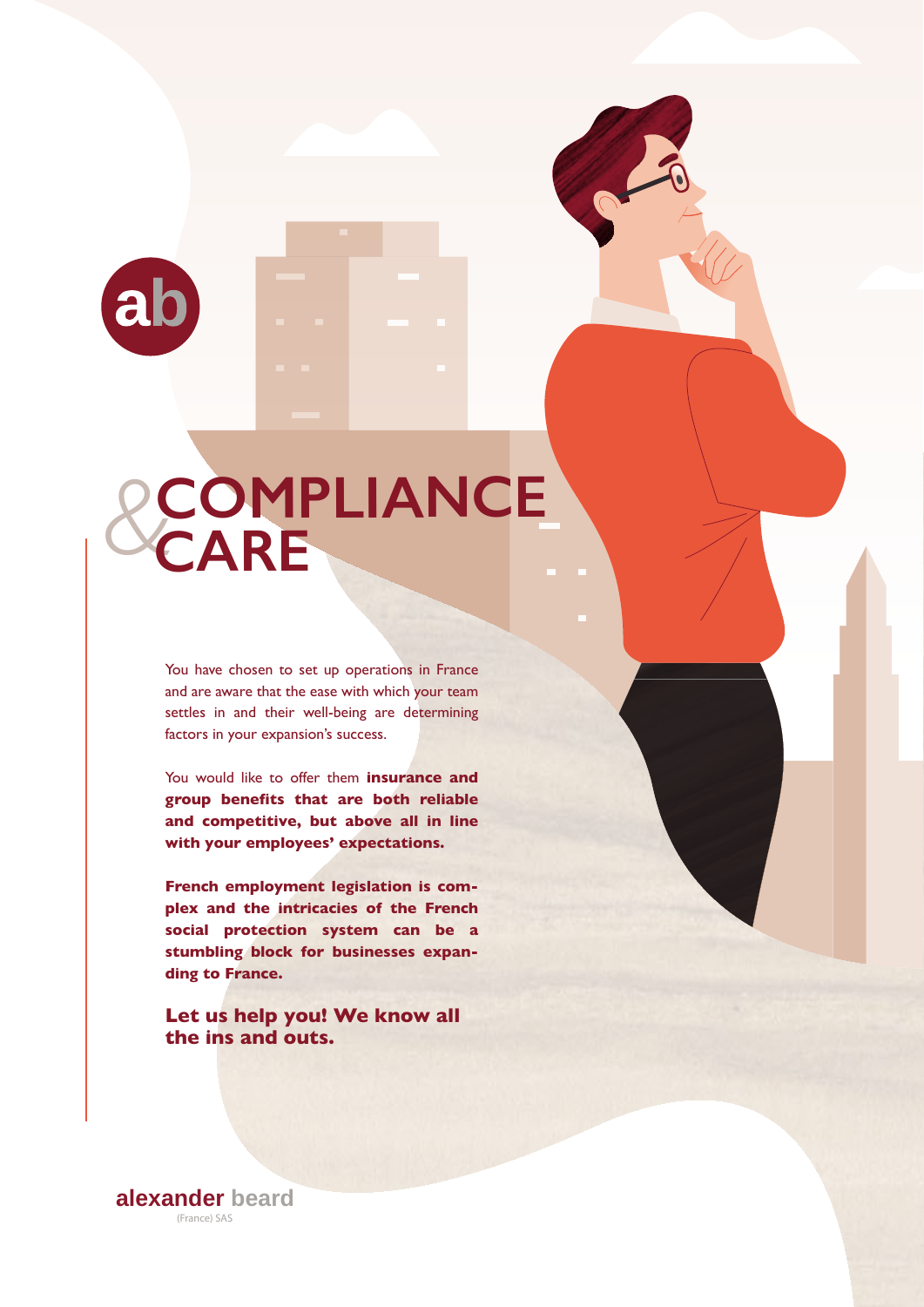

# *&***COMPLIANCE CARE**

You have chosen to set up operations in France and are aware that the ease with which your team settles in and their well-being are determining factors in your expansion's success.

You would like to offer them **insurance and group benefits that are both reliable and competitive, but above all in line with your employees' expectations.**

**French employment legislation is complex and the intricacies of the French social protection system can be a stumbling block for businesses expanding to France.**

**Let us help you! We know all the ins and outs.**

**alexander beard** (France) SAS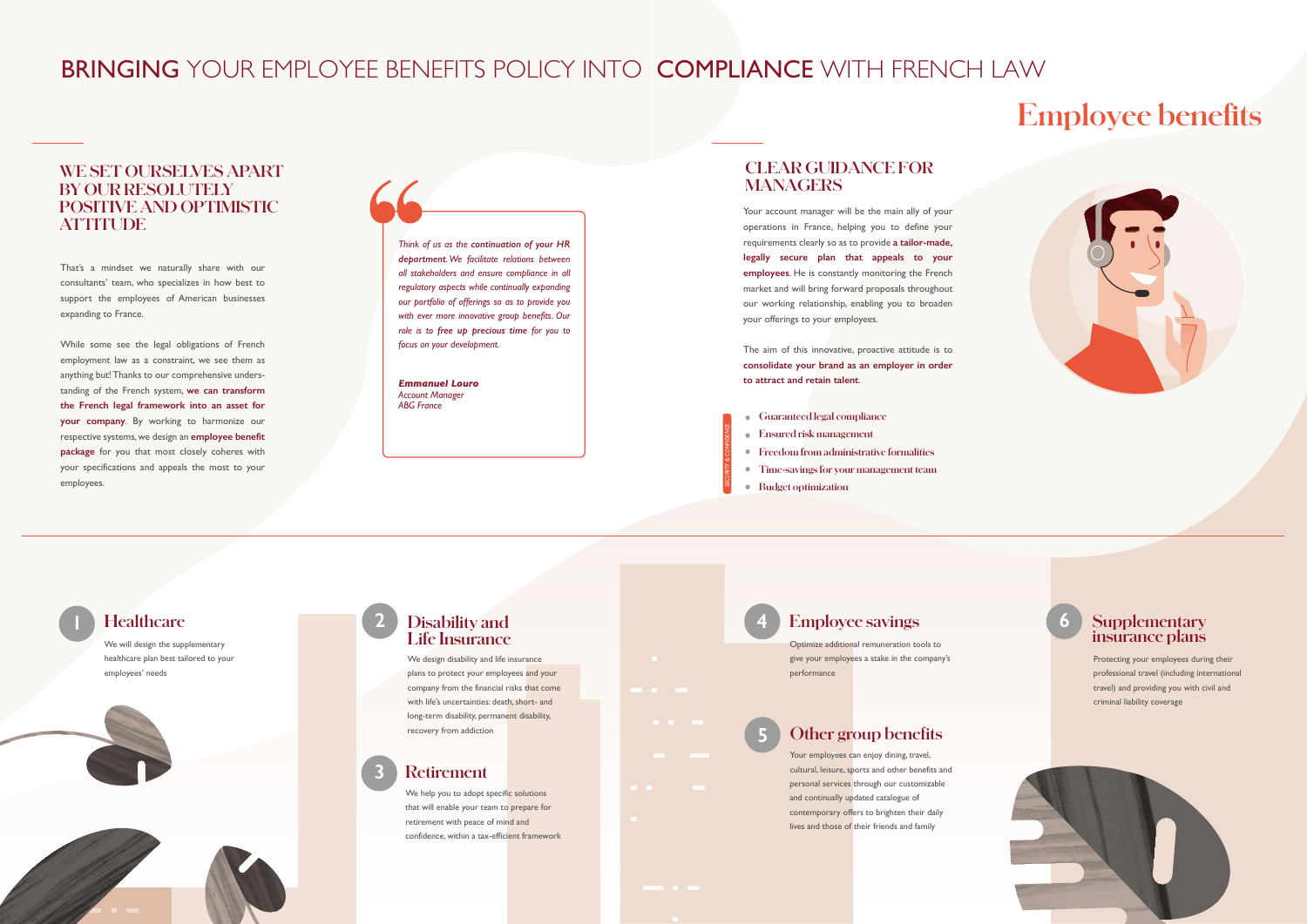That's a mindset we naturally share with our consultants' team, who specializes in how best to support the employees of American businesses expanding to France.

While some see the legal obligations of French employment law as a constraint, we see them as anything but! Thanks to our comprehensive understanding of the French system, **we can transform the French legal framework into an asset for your company**. By working to harmonize our respective systems, we design an **employee benefit package** for you that most closely coheres with your specifications and appeals the most to your employees.

# BRINGING YOUR EMPLOYEE BENEFITS POLICY INTO COMPLIANCE WITH FRENCH LAW

# **WE SET OURSELVES APART BY OUR RESOLUTELY POSITIVE AND OPTIMISTIC ATTITUDE**

We help you to adopt specific solutions that will enable your team to prepare for retirement with peace of mind and confidence, within a tax-efficient framework

**Healthcare**

We will design the supplementary healthcare plan best tailored to your employees' needs



# **1 Disability and Life Insurance**

We design disability and life insurance plans to protect your employees and your company from the financial risks that come with life's uncertainties: death, short- and long-term disability, permanent disability, recovery from addiction

Your account manager will be the main ally of your operations in France, helping you to define your requirements clearly so as to provide **a tailor-made, legally secure plan that appeals to your employees**. He is constantly monitoring the French market and will bring forward proposals throughout our working relationship, enabling you to broaden your offerings to your employees.

**2**

#### **Retirement 3**

Your employees can enjoy dining, travel, cultural, leisure, sports and other benefits and personal services through our customizable and continually updated catalogue of contemporary offers to brighten their daily lives and those of their friends and family



*Think of us as the continuation of your HR department. We facilitate relations between all stakeholders and ensure compliance in all regulatory aspects while continually expanding our portfolio of offerings so as to provide you with ever more innovative group benefits. Our role is to free up precious time for you to focus on your development.*

*Emmanuel Louro Account Manager ABG France*

The aim of this innovative, proactive attitude is to **consolidate your brand as an employer in order to attract and retain talent**.

# **CLEAR GUIDANCE FOR MANAGERS**



Protecting your employees during their professional travel (including international travel) and providing you with civil and criminal liability coverage



**6**

# **Other group benefits**

**5**

- **Guaranteed legal compliance**
- **Ensured risk management**
- **Freedom from administrative formalities**
- **Time-savings for your management team**
- **Budget optimization**

*SECURITY & CONFIDENCE*

# **4 Employee savings**

Optimize additional remuneration tools to give your employees a stake in the company's performance

# **Employee benets**

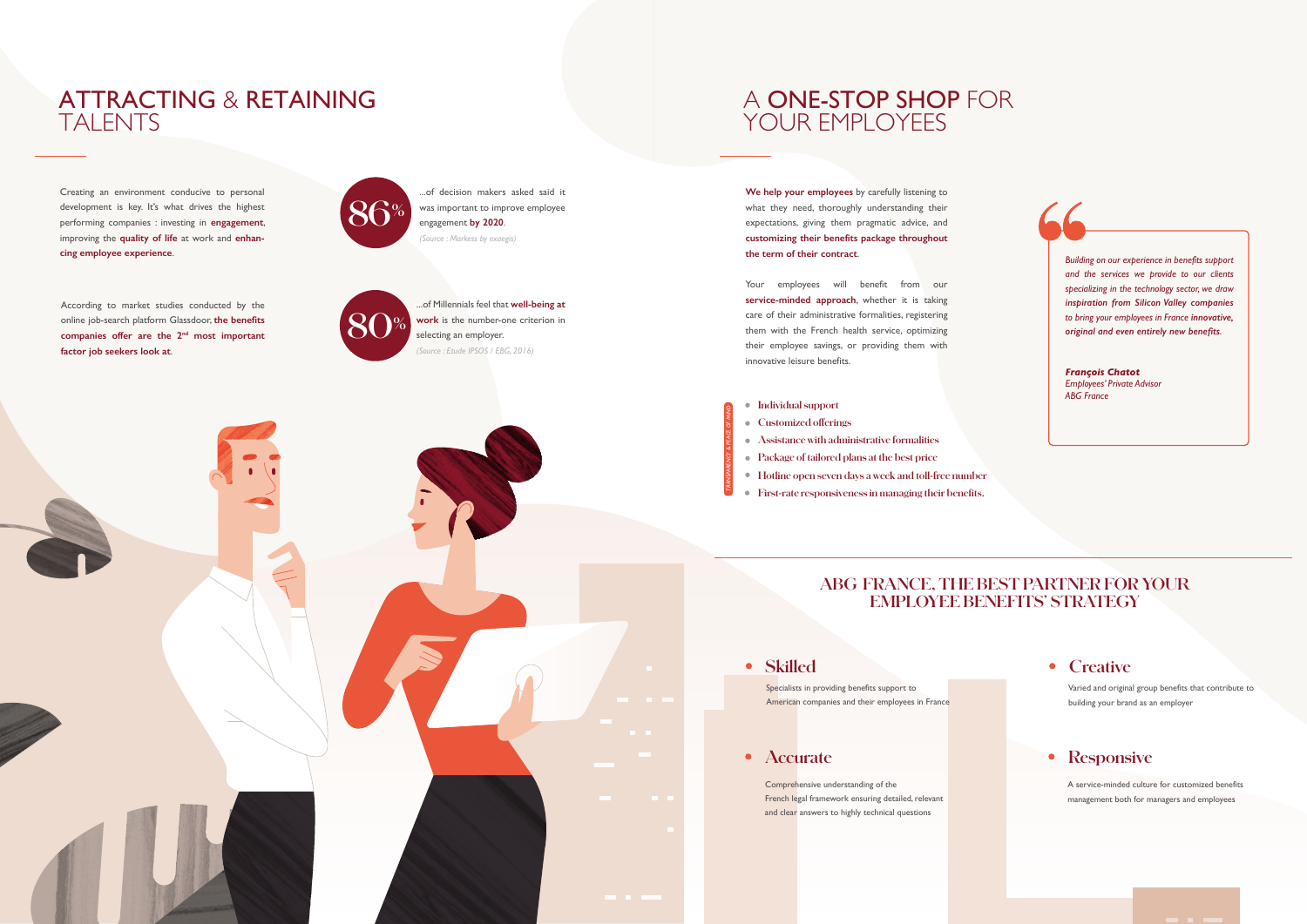According to market studies conducted by the online job-search platform Glassdoor, **the benefits companies offer are the 2nd most important factor job seekers look at**.

# ATTRACTING & RETAINING TALENTS

...of decision makers asked said it was important to improve employee engagement **by 2020**. *(Source : Markess by exaegis)*



# A ONE-STOP SHOP FOR YOUR EMPLOYEES

...of Millennials feel that **well-being at work** is the number-one criterion in selecting an employer. *(Source : Etude IPSOS / EBG, 2016)*

**80%**

Creating an environment conducive to personal development is key. It's what drives the highest performing companies : investing in **engagement**, improving the **quality of life** at work and **enhancing employee experience**.

**We help your employees** by carefully listening to what they need, thoroughly understanding their expectations, giving them pragmatic advice, and **customizing their benefits package throughout the term of their contract**.

- Customized offerings
- **Assistance with administrative formalities**
- **Package of tailored plans at the best price**
- **Hotline open seven days a week and toll-free number**
- **First-rate responsiveness in managing their benefits.**

Specialists in providing benefits support to American companies and their employees in France

Your employees will benefit from our **service-minded approach**, whether it is taking care of their administrative formalities, registering them with the French health service, optimizing their employee savings, or providing them with innovative leisure benefits.

*Building on our experience in benefits support and the services we provide to our clients specializing in the technology sector, we draw inspiration from Silicon Valley companies to bring your employees in France innovative, original and even entirely new benefits.*

*François Chatot Employees' Private Advisor ABG France*

# **ABG FRANCE, THE BEST PARTNER FOR YOUR EMPLOYEE BENEFITS' STRATEGY**

#### **Skilled**

## **Accurate**

Comprehensive understanding of the French legal framework ensuring detailed, relevant and clear answers to highly technical questions

## **Creative**

#### **Individual support**

*TRANSPARENCY & PEACE OF MIND*

ù.

Varied and original group benefits that contribute to building your brand as an employer

# **•** Responsive

A service-minded culture for customized benefits management both for managers and employees